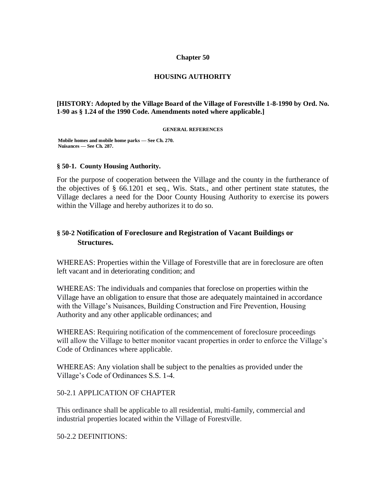### **Chapter 50**

### **HOUSING AUTHORITY**

### **[HISTORY: Adopted by the Village Board of the Village of Forestville 1-8-1990 by Ord. No. 1-90 as § 1.24 of the 1990 Code. Amendments noted where applicable.]**

#### **GENERAL REFERENCES**

**Mobile homes and mobile home parks — See Ch. 270. Nuisances — See Ch. 287.**

### **§ 50-1. County Housing Authority.**

For the purpose of cooperation between the Village and the county in the furtherance of the objectives of § 66.1201 et seq., Wis. Stats., and other pertinent state statutes, the Village declares a need for the Door County Housing Authority to exercise its powers within the Village and hereby authorizes it to do so.

# **§ 50-2 Notification of Foreclosure and Registration of Vacant Buildings or Structures.**

WHEREAS: Properties within the Village of Forestville that are in foreclosure are often left vacant and in deteriorating condition; and

WHEREAS: The individuals and companies that foreclose on properties within the Village have an obligation to ensure that those are adequately maintained in accordance with the Village's Nuisances, Building Construction and Fire Prevention, Housing Authority and any other applicable ordinances; and

WHEREAS: Requiring notification of the commencement of foreclosure proceedings will allow the Village to better monitor vacant properties in order to enforce the Village's Code of Ordinances where applicable.

WHEREAS: Any violation shall be subject to the penalties as provided under the Village's Code of Ordinances S.S. 1-4.

### 50-2.1 APPLICATION OF CHAPTER

This ordinance shall be applicable to all residential, multi-family, commercial and industrial properties located within the Village of Forestville.

50-2.2 DEFINITIONS: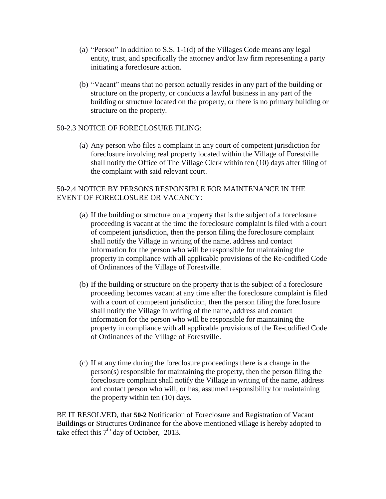- (a) "Person" In addition to S.S. 1-1(d) of the Villages Code means any legal entity, trust, and specifically the attorney and/or law firm representing a party initiating a foreclosure action.
- (b) "Vacant" means that no person actually resides in any part of the building or structure on the property, or conducts a lawful business in any part of the building or structure located on the property, or there is no primary building or structure on the property.

## 50-2.3 NOTICE OF FORECLOSURE FILING:

(a) Any person who files a complaint in any court of competent jurisdiction for foreclosure involving real property located within the Village of Forestville shall notify the Office of The Village Clerk within ten (10) days after filing of the complaint with said relevant court.

# 50-2.4 NOTICE BY PERSONS RESPONSIBLE FOR MAINTENANCE IN THE EVENT OF FORECLOSURE OR VACANCY:

- (a) If the building or structure on a property that is the subject of a foreclosure proceeding is vacant at the time the foreclosure complaint is filed with a court of competent jurisdiction, then the person filing the foreclosure complaint shall notify the Village in writing of the name, address and contact information for the person who will be responsible for maintaining the property in compliance with all applicable provisions of the Re-codified Code of Ordinances of the Village of Forestville.
- (b) If the building or structure on the property that is the subject of a foreclosure proceeding becomes vacant at any time after the foreclosure complaint is filed with a court of competent jurisdiction, then the person filing the foreclosure shall notify the Village in writing of the name, address and contact information for the person who will be responsible for maintaining the property in compliance with all applicable provisions of the Re-codified Code of Ordinances of the Village of Forestville.
- (c) If at any time during the foreclosure proceedings there is a change in the person(s) responsible for maintaining the property, then the person filing the foreclosure complaint shall notify the Village in writing of the name, address and contact person who will, or has, assumed responsibility for maintaining the property within ten (10) days.

BE IT RESOLVED, that **50-2** Notification of Foreclosure and Registration of Vacant Buildings or Structures Ordinance for the above mentioned village is hereby adopted to take effect this  $7<sup>th</sup>$  day of October, 2013.